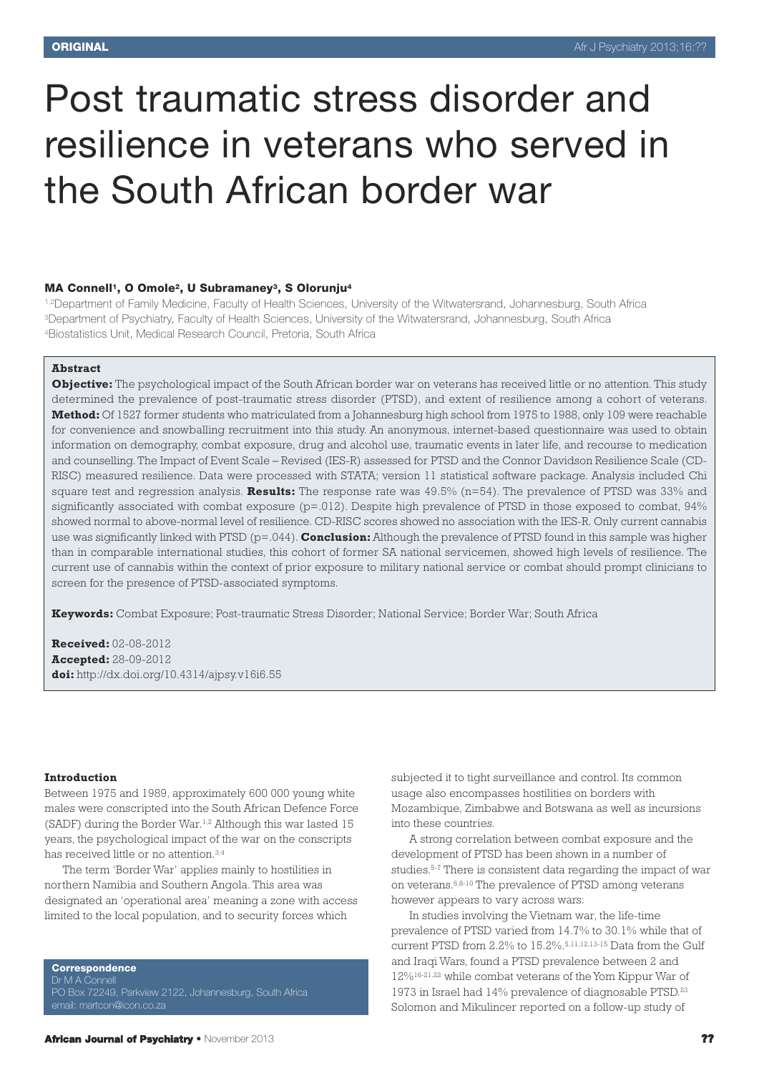# Post traumatic stress disorder and resilience in veterans who served in the South African border war

## **MA Connell1, O Omole2, U Subramaney3, S Olorunju4**

1,2Department of Family Medicine, Faculty of Health Sciences, University of the Witwatersrand, Johannesburg, South Africa 3Department of Psychiatry, Faculty of Health Sciences, University of the Witwatersrand, Johannesburg, South Africa 4Biostatistics Unit, Medical Research Council, Pretoria, South Africa

## **Abstract**

**Objective:** The psychological impact of the South African border war on veterans has received little or no attention. This study determined the prevalence of post-traumatic stress disorder (PTSD), and extent of resilience among a cohort of veterans. **Method:** Of 1527 former students who matriculated from a Johannesburg high school from 1975 to 1988, only 109 were reachable for convenience and snowballing recruitment into this study. An anonymous, internet-based questionnaire was used to obtain information on demography, combat exposure, drug and alcohol use, traumatic events in later life, and recourse to medication and counselling. The Impact of Event Scale – Revised (IES-R) assessed for PTSD and the Connor Davidson Resilience Scale (CD-RISC) measured resilience. Data were processed with STATA; version 11 statistical software package. Analysis included Chi square test and regression analysis. **Results:** The response rate was 49.5% (n=54). The prevalence of PTSD was 33% and significantly associated with combat exposure  $(p=0.012)$ . Despite high prevalence of PTSD in those exposed to combat, 94% showed normal to above-normal level of resilience. CD-RISC scores showed no association with the IES-R. Only current cannabis use was significantly linked with PTSD (p=.044). **Conclusion:** Although the prevalence of PTSD found in this sample was higher than in comparable international studies, this cohort of former SA national servicemen, showed high levels of resilience. The current use of cannabis within the context of prior exposure to military national service or combat should prompt clinicians to screen for the presence of PTSD-associated symptoms.

**Keywords:** Combat Exposure; Post-traumatic Stress Disorder; National Service; Border War; South Africa

**Received:** 02-08-2012 **Accepted:** 28-09-2012 **doi:** http://dx.doi.org/10.4314/ajpsy.v16i6.55

#### **Introduction**

Between 1975 and 1989, approximately 600 000 young white males were conscripted into the South African Defence Force (SADF) during the Border War. 1,2 Although this war lasted 15 years, the psychological impact of the war on the conscripts has received little or no attention.<sup>3,4</sup>

The term 'Border War' applies mainly to hostilities in northern Namibia and Southern Angola. This area was designated an 'operational area' meaning a zone with access limited to the local population, and to security forces which

**Correspondence** Dr M A Connell PO Box 72249, Parkview 2122, Johannesburg, South Africa email: martcon@icon.co.za

subjected it to tight surveillance and control. Its common usage also encompasses hostilities on borders with Mozambique, Zimbabwe and Botswana as well as incursions into these countries.

A strong correlation between combat exposure and the development of PTSD has been shown in a number of studies. 5-7 There is consistent data regarding the impact of war on veterans. 6,8-10 The prevalence of PTSD among veterans however appears to vary across wars:

In studies involving the Vietnam war, the life-time prevalence of PTSD varied from 14.7% to 30.1% while that of current PTSD from 2.2% to 15.2%. 5,11,12,13-15 Data from the Gulf and Iraqi Wars, found a PTSD prevalence between 2 and 12%16-21,22 while combat veterans of theYom Kippur War of 1973 in Israel had 14% prevalence of diagnosable PTSD. 23 Solomon and Mikulincer reported on a follow-up study of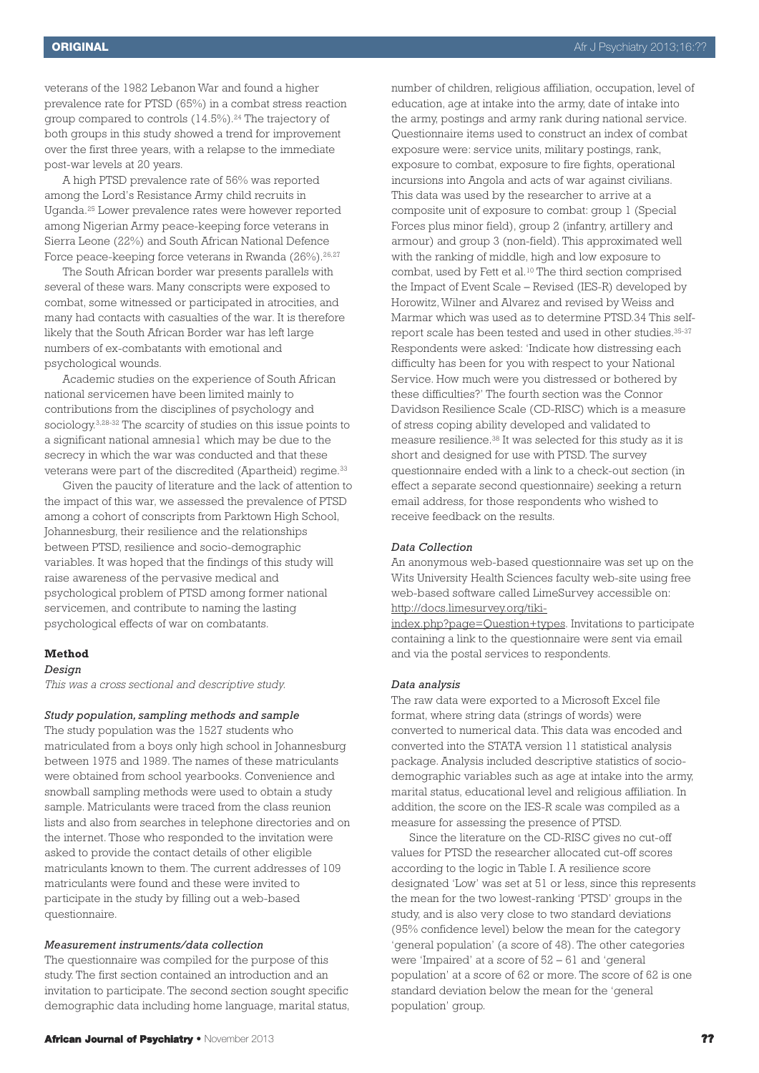veterans of the 1982 Lebanon War and found a higher prevalence rate for PTSD (65%) in a combat stress reaction group compared to controls (14.5%). <sup>24</sup> The trajectory of both groups in this study showed a trend for improvement over the first three years, with a relapse to the immediate post-war levels at 20 years.

A high PTSD prevalence rate of 56% was reported among the Lord's Resistance Army child recruits in Uganda. <sup>25</sup> Lower prevalence rates were however reported among Nigerian Army peace-keeping force veterans in Sierra Leone (22%) and South African National Defence Force peace-keeping force veterans in Rwanda (26%).<sup>26,27</sup>

The South African border war presents parallels with several of these wars. Many conscripts were exposed to combat, some witnessed or participated in atrocities, and many had contacts with casualties of the war. It is therefore likely that the South African Border war has left large numbers of ex-combatants with emotional and psychological wounds.

Academic studies on the experience of South African national servicemen have been limited mainly to contributions from the disciplines of psychology and sociology. 3,28-32 The scarcity of studies on this issue points to a significant national amnesia1 which may be due to the secrecy in which the war was conducted and that these veterans were part of the discredited (Apartheid) regime. 33

Given the paucity of literature and the lack of attention to the impact of this war, we assessed the prevalence of PTSD among a cohort of conscripts from Parktown High School, Johannesburg, their resilience and the relationships between PTSD, resilience and socio-demographic variables. It was hoped that the findings of this study will raise awareness of the pervasive medical and psychological problem of PTSD among former national servicemen, and contribute to naming the lasting psychological effects of war on combatants.

#### **Method**

#### *Design*

*This was a cross sectional and descriptive study.*

# *Study population, sampling methods and sample*

The study population was the 1527 students who matriculated from a boys only high school in Johannesburg between 1975 and 1989. The names of these matriculants were obtained from school yearbooks. Convenience and snowball sampling methods were used to obtain a study sample. Matriculants were traced from the class reunion lists and also from searches in telephone directories and on the internet. Those who responded to the invitation were asked to provide the contact details of other eligible matriculants known to them. The current addresses of 109 matriculants were found and these were invited to participate in the study by filling out a web-based questionnaire.

## *Measurement instruments/data collection*

The questionnaire was compiled for the purpose of this study. The first section contained an introduction and an invitation to participate. The second section sought specific demographic data including home language, marital status, number of children, religious affiliation, occupation, level of education, age at intake into the army, date of intake into the army, postings and army rank during national service. Questionnaire items used to construct an index of combat exposure were: service units, military postings, rank, exposure to combat, exposure to fire fights, operational incursions into Angola and acts of war against civilians. This data was used by the researcher to arrive at a composite unit of exposure to combat: group 1 (Special Forces plus minor field), group 2 (infantry, artillery and armour) and group 3 (non-field). This approximated well with the ranking of middle, high and low exposure to combat, used by Fett et al. <sup>10</sup> The third section comprised the Impact of Event Scale – Revised (IES-R) developed by Horowitz, Wilner and Alvarez and revised by Weiss and Marmar which was used as to determine PTSD.34 This selfreport scale has been tested and used in other studies. 35-37 Respondents were asked: 'Indicate how distressing each difficulty has been for you with respect to your National Service. How much were you distressed or bothered by these difficulties?' The fourth section was the Connor Davidson Resilience Scale (CD-RISC) which is a measure of stress coping ability developed and validated to measure resilience. <sup>38</sup> It was selected for this study as it is short and designed for use with PTSD. The survey questionnaire ended with a link to a check-out section (in effect a separate second questionnaire) seeking a return email address, for those respondents who wished to receive feedback on the results.

## *Data Collection*

An anonymous web-based questionnaire was set up on the Wits University Health Sciences faculty web-site using free web-based software called LimeSurvey accessible on: http://docs.limesurvey.org/tiki-

index.php?page=Question+types. Invitations to participate containing a link to the questionnaire were sent via email and via the postal services to respondents.

#### *Data analysis*

The raw data were exported to a Microsoft Excel file format, where string data (strings of words) were converted to numerical data. This data was encoded and converted into the STATA version 11 statistical analysis package. Analysis included descriptive statistics of sociodemographic variables such as age at intake into the army, marital status, educational level and religious affiliation. In addition, the score on the IES-R scale was compiled as a measure for assessing the presence of PTSD.

Since the literature on the CD-RISC gives no cut-off values for PTSD the researcher allocated cut-off scores according to the logic in Table I. A resilience score designated 'Low' was set at 51 or less, since this represents the mean for the two lowest-ranking 'PTSD' groups in the study, and is also very close to two standard deviations (95% confidence level) below the mean for the category 'general population' (a score of 48). The other categories were 'Impaired' at a score of 52 – 61 and 'general population' at a score of 62 or more. The score of 62 is one standard deviation below the mean for the 'general population' group.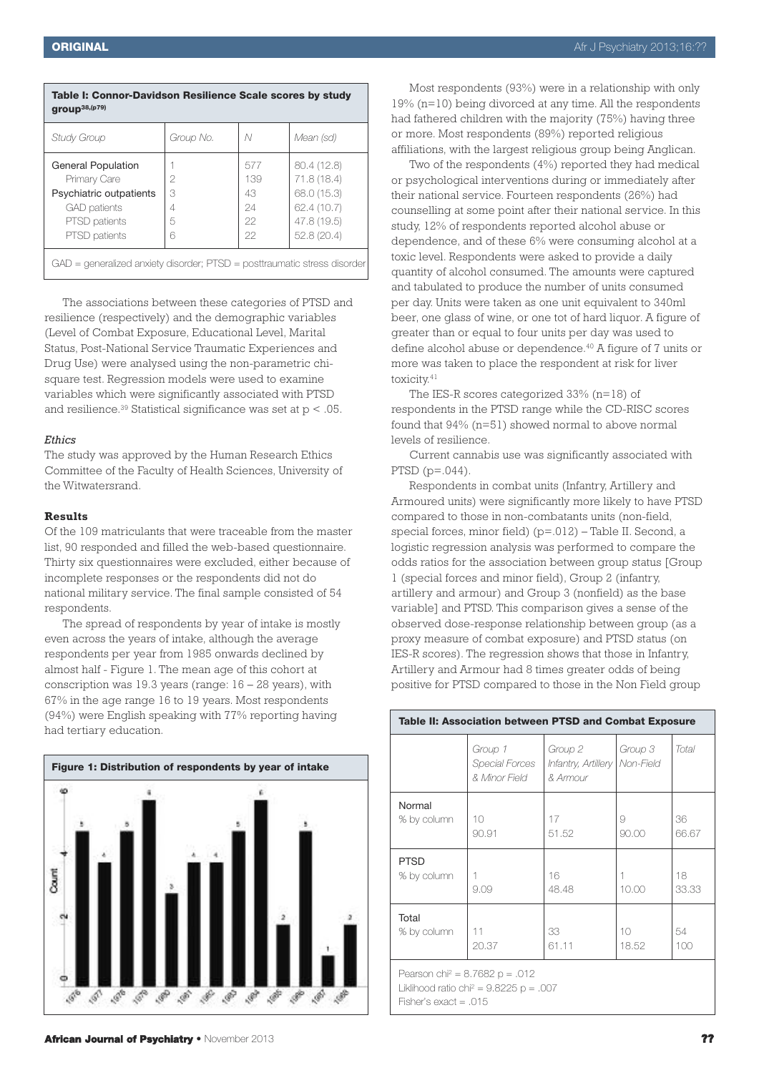| <b>ORIGINAL</b> | Afr J Psychiatry 2013;16:?? |
|-----------------|-----------------------------|
|-----------------|-----------------------------|

| Table I: Connor-Davidson Resilience Scale scores by study<br>group <sup>38,(p79)</sup> |           |     |             |  |  |  |
|----------------------------------------------------------------------------------------|-----------|-----|-------------|--|--|--|
| Study Group                                                                            | Group No. | N   | Mean (sd)   |  |  |  |
| <b>General Population</b>                                                              |           | 577 | 80.4 (12.8) |  |  |  |
| Primary Care                                                                           | 2         | 139 | 71.8 (18.4) |  |  |  |
| Psychiatric outpatients                                                                | 3         | 43  | 68.0 (15.3) |  |  |  |
| <b>GAD</b> patients                                                                    |           | 24  | 62.4 (10.7) |  |  |  |
| PTSD patients                                                                          | 5         | 22  | 47.8 (19.5) |  |  |  |
| PTSD patients                                                                          | 6         | 22  | 52.8(20.4)  |  |  |  |
| $GAD =$ generalized anxiety disorder; PTSD = posttraumatic stress disorder             |           |     |             |  |  |  |

The associations between these categories of PTSD and resilience (respectively) and the demographic variables (Level of Combat Exposure, Educational Level, Marital Status, Post-National Service Traumatic Experiences and Drug Use) were analysed using the non-parametric chisquare test. Regression models were used to examine variables which were significantly associated with PTSD and resilience. <sup>39</sup> Statistical significance was set at p < .05.

## *Ethics*

The study was approved by the Human Research Ethics Committee of the Faculty of Health Sciences, University of the Witwatersrand.

## **Results**

Of the 109 matriculants that were traceable from the master list, 90 responded and filled the web-based questionnaire. Thirty six questionnaires were excluded, either because of incomplete responses or the respondents did not do national military service. The final sample consisted of 54 respondents.

The spread of respondents by year of intake is mostly even across the years of intake, although the average respondents per year from 1985 onwards declined by almost half - Figure 1. The mean age of this cohort at conscription was 19.3 years (range: 16 – 28 years), with 67% in the age range 16 to 19 years. Most respondents (94%) were English speaking with 77% reporting having had tertiary education.



Most respondents (93%) were in a relationship with only 19% (n=10) being divorced at any time. All the respondents had fathered children with the majority (75%) having three or more. Most respondents (89%) reported religious affiliations, with the largest religious group being Anglican.

Two of the respondents (4%) reported they had medical or psychological interventions during or immediately after their national service. Fourteen respondents (26%) had counselling at some point after their national service. In this study, 12% of respondents reported alcohol abuse or dependence, and of these 6% were consuming alcohol at a toxic level. Respondents were asked to provide a daily quantity of alcohol consumed. The amounts were captured and tabulated to produce the number of units consumed per day. Units were taken as one unit equivalent to 340ml beer, one glass of wine, or one tot of hard liquor. A figure of greater than or equal to four units per day was used to define alcohol abuse or dependence. <sup>40</sup> A figure of 7 units or more was taken to place the respondent at risk for liver toxicity. 41

The IES-R scores categorized 33% (n=18) of respondents in the PTSD range while the CD-RISC scores found that 94% (n=51) showed normal to above normal levels of resilience.

Current cannabis use was significantly associated with PTSD  $(p=.044)$ .

Respondents in combat units (Infantry, Artillery and Armoured units) were significantly more likely to have PTSD compared to those in non-combatants units (non-field, special forces, minor field) (p=.012) – Table II. Second, a logistic regression analysis was performed to compare the odds ratios for the association between group status [Group 1 (special forces and minor field), Group 2 (infantry, artillery and armour) and Group 3 (nonfield) as the base variable] and PTSD. This comparison gives a sense of the observed dose-response relationship between group (as a proxy measure of combat exposure) and PTSD status (on IES-R scores). The regression shows that those in Infantry, Artillery and Armour had 8 times greater odds of being positive for PTSD compared to those in the Non Field group

| Table II: Association between PTSD and Combat Exposure                                                                      |                                            |                                                        |                          |             |  |
|-----------------------------------------------------------------------------------------------------------------------------|--------------------------------------------|--------------------------------------------------------|--------------------------|-------------|--|
|                                                                                                                             | Group 1<br>Special Forces<br>& Minor Field | Group 2<br>Infantry, Artillery   Non-Field<br>& Armour | Group 3                  | Total       |  |
| Normal<br>% by column                                                                                                       | 10<br>90.91                                | 17<br>51.52                                            | 9<br>90.00               | 36<br>66.67 |  |
| <b>PTSD</b><br>% by column                                                                                                  | 9.09                                       | 16<br>48.48                                            | 10.00                    | 18<br>33.33 |  |
| Total<br>% by column                                                                                                        | 11<br>20.37                                | 33<br>61.11                                            | 10 <sup>2</sup><br>18.52 | 54<br>100   |  |
| Pearson chi <sup>2</sup> = 8.7682 p = .012<br>Liklihood ratio chi <sup>2</sup> = 9.8225 p = .007<br>Fisher's exact = $.015$ |                                            |                                                        |                          |             |  |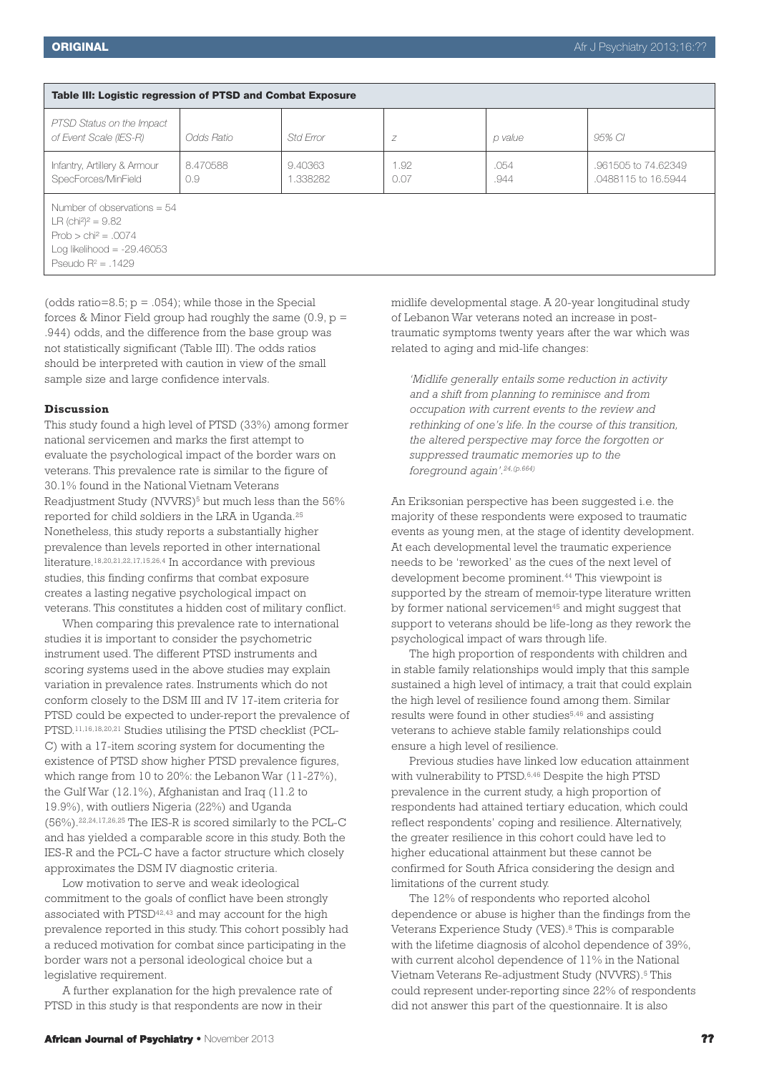| Table III: Logistic regression of PTSD and Combat Exposure                                                                                                    |                 |                     |              |              |                                            |  |  |
|---------------------------------------------------------------------------------------------------------------------------------------------------------------|-----------------|---------------------|--------------|--------------|--------------------------------------------|--|--|
| PTSD Status on the Impact<br>of Event Scale (IES-R)                                                                                                           | Odds Ratio      | Std Frror           | Z            | p value      | 95% CI                                     |  |  |
| Infantry, Artillery & Armour<br>SpecForces/MinField                                                                                                           | 8.470588<br>0.9 | 9.40363<br>1.338282 | 1.92<br>0.07 | .054<br>.944 | .961505 to 74.62349<br>.0488115 to 16.5944 |  |  |
| Number of observations $= 54$<br>LR (chi <sup>2</sup> ) <sup>2</sup> = 9.82<br>$Prob > chi^2 = .0074$<br>Log likelihood = $-29.46053$<br>Pseudo $R^2 = .1429$ |                 |                     |              |              |                                            |  |  |

(odds ratio=8.5;  $p = .054$ ); while those in the Special forces & Minor Field group had roughly the same  $(0.9, p =$ .944) odds, and the difference from the base group was not statistically significant (Table III). The odds ratios should be interpreted with caution in view of the small sample size and large confidence intervals.

#### **Discussion**

This study found a high level of PTSD (33%) among former national servicemen and marks the first attempt to evaluate the psychological impact of the border wars on veterans. This prevalence rate is similar to the figure of 30.1% found in the National Vietnam Veterans Readjustment Study (NVVRS)<sup>5</sup> but much less than the 56% reported for child soldiers in the LRA in Uganda. 25 Nonetheless, this study reports a substantially higher prevalence than levels reported in other international literature. 18,20,21,22,17,15,26,4 In accordance with previous studies, this finding confirms that combat exposure creates a lasting negative psychological impact on veterans. This constitutes a hidden cost of military conflict.

When comparing this prevalence rate to international studies it is important to consider the psychometric instrument used. The different PTSD instruments and scoring systems used in the above studies may explain variation in prevalence rates. Instruments which do not conform closely to the DSM III and IV 17-item criteria for PTSD could be expected to under-report the prevalence of PTSD. 11,16,18,20,21 Studies utilising the PTSD checklist (PCL-C) with a 17-item scoring system for documenting the existence of PTSD show higher PTSD prevalence figures, which range from 10 to 20%: the Lebanon War (11-27%), the Gulf War (12.1%), Afghanistan and Iraq (11.2 to 19.9%), with outliers Nigeria (22%) and Uganda (56%). 22,24,17,26,25 The IES-R is scored similarly to the PCL-C and has yielded a comparable score in this study. Both the IES-R and the PCL-C have a factor structure which closely approximates the DSM IV diagnostic criteria.

Low motivation to serve and weak ideological commitment to the goals of conflict have been strongly associated with PTSD<sup>42,43</sup> and may account for the high prevalence reported in this study. This cohort possibly had a reduced motivation for combat since participating in the border wars not a personal ideological choice but a legislative requirement.

A further explanation for the high prevalence rate of PTSD in this study is that respondents are now in their

midlife developmental stage. A 20-year longitudinal study of Lebanon War veterans noted an increase in posttraumatic symptoms twenty years after the war which was related to aging and mid-life changes:

*'Midlife generally entails some reduction in activity and a shift from planning to reminisce and from occupation with current events to the review and rethinking of one's life. In the course of this transition, the altered perspective may force the forgotten or suppressed traumatic memories up to the foreground again'. 24,(p.664)*

An Eriksonian perspective has been suggested i.e. the majority of these respondents were exposed to traumatic events as young men, at the stage of identity development. At each developmental level the traumatic experience needs to be 'reworked' as the cues of the next level of development become prominent. <sup>44</sup> This viewpoint is supported by the stream of memoir-type literature written by former national servicemen<sup>45</sup> and might suggest that support to veterans should be life-long as they rework the psychological impact of wars through life.

The high proportion of respondents with children and in stable family relationships would imply that this sample sustained a high level of intimacy, a trait that could explain the high level of resilience found among them. Similar results were found in other studies<sup>5,46</sup> and assisting veterans to achieve stable family relationships could ensure a high level of resilience.

Previous studies have linked low education attainment with vulnerability to PTSD.<sup>6,46</sup> Despite the high PTSD prevalence in the current study, a high proportion of respondents had attained tertiary education, which could reflect respondents' coping and resilience. Alternatively, the greater resilience in this cohort could have led to higher educational attainment but these cannot be confirmed for South Africa considering the design and limitations of the current study.

The 12% of respondents who reported alcohol dependence or abuse is higher than the findings from the Veterans Experience Study (VES). <sup>8</sup> This is comparable with the lifetime diagnosis of alcohol dependence of 39%, with current alcohol dependence of 11% in the National Vietnam Veterans Re-adjustment Study (NVVRS). <sup>5</sup> This could represent under-reporting since 22% of respondents did not answer this part of the questionnaire. It is also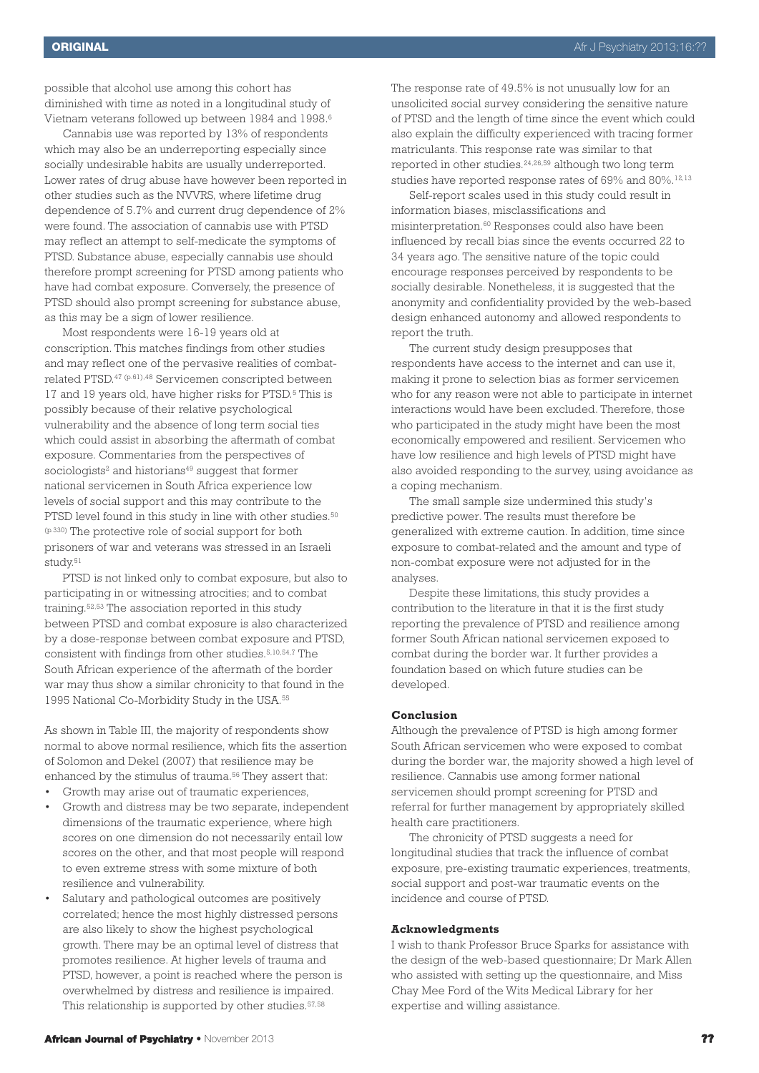possible that alcohol use among this cohort has diminished with time as noted in a longitudinal study of Vietnam veterans followed up between 1984 and 1998. 6

Cannabis use was reported by 13% of respondents which may also be an underreporting especially since socially undesirable habits are usually underreported. Lower rates of drug abuse have however been reported in other studies such as the NVVRS, where lifetime drug dependence of 5.7% and current drug dependence of 2% were found. The association of cannabis use with PTSD may reflect an attempt to self-medicate the symptoms of PTSD. Substance abuse, especially cannabis use should therefore prompt screening for PTSD among patients who have had combat exposure. Conversely, the presence of PTSD should also prompt screening for substance abuse, as this may be a sign of lower resilience.

Most respondents were 16-19 years old at conscription. This matches findings from other studies and may reflect one of the pervasive realities of combatrelated PTSD. <sup>47</sup> (p.61),48 Servicemen conscripted between 17 and 19 years old, have higher risks for PTSD. <sup>5</sup> This is possibly because of their relative psychological vulnerability and the absence of long term social ties which could assist in absorbing the aftermath of combat exposure. Commentaries from the perspectives of sociologists<sup>2</sup> and historians<sup>49</sup> suggest that former national servicemen in South Africa experience low levels of social support and this may contribute to the PTSD level found in this study in line with other studies. 50 (p.330) The protective role of social support for both prisoners of war and veterans was stressed in an Israeli study. 51

PTSD is not linked only to combat exposure, but also to participating in or witnessing atrocities; and to combat training. 52,53 The association reported in this study between PTSD and combat exposure is also characterized by a dose-response between combat exposure and PTSD, consistent with findings from other studies. 5,10,54,7 The South African experience of the aftermath of the border war may thus show a similar chronicity to that found in the 1995 National Co-Morbidity Study in the USA. 55

As shown in Table III, the majority of respondents show normal to above normal resilience, which fits the assertion of Solomon and Dekel (2007) that resilience may be enhanced by the stimulus of trauma. <sup>56</sup> They assert that:

- Growth may arise out of traumatic experiences,
- Growth and distress may be two separate, independent dimensions of the traumatic experience, where high scores on one dimension do not necessarily entail low scores on the other, and that most people will respond to even extreme stress with some mixture of both resilience and vulnerability.
- Salutary and pathological outcomes are positively correlated; hence the most highly distressed persons are also likely to show the highest psychological growth. There may be an optimal level of distress that promotes resilience. At higher levels of trauma and PTSD, however, a point is reached where the person is overwhelmed by distress and resilience is impaired. This relationship is supported by other studies. 57,58

Self-report scales used in this study could result in information biases, misclassifications and misinterpretation. <sup>60</sup> Responses could also have been influenced by recall bias since the events occurred 22 to 34 years ago. The sensitive nature of the topic could encourage responses perceived by respondents to be socially desirable. Nonetheless, it is suggested that the anonymity and confidentiality provided by the web-based design enhanced autonomy and allowed respondents to report the truth.

The current study design presupposes that respondents have access to the internet and can use it, making it prone to selection bias as former servicemen who for any reason were not able to participate in internet interactions would have been excluded. Therefore, those who participated in the study might have been the most economically empowered and resilient. Servicemen who have low resilience and high levels of PTSD might have also avoided responding to the survey, using avoidance as a coping mechanism.

The small sample size undermined this study's predictive power. The results must therefore be generalized with extreme caution. In addition, time since exposure to combat-related and the amount and type of non-combat exposure were not adjusted for in the analyses.

Despite these limitations, this study provides a contribution to the literature in that it is the first study reporting the prevalence of PTSD and resilience among former South African national servicemen exposed to combat during the border war. It further provides a foundation based on which future studies can be developed.

# **Conclusion**

Although the prevalence of PTSD is high among former South African servicemen who were exposed to combat during the border war, the majority showed a high level of resilience. Cannabis use among former national servicemen should prompt screening for PTSD and referral for further management by appropriately skilled health care practitioners.

The chronicity of PTSD suggests a need for longitudinal studies that track the influence of combat exposure, pre-existing traumatic experiences, treatments, social support and post-war traumatic events on the incidence and course of PTSD.

## **Acknowledgments**

I wish to thank Professor Bruce Sparks for assistance with the design of the web-based questionnaire; Dr Mark Allen who assisted with setting up the questionnaire, and Miss Chay Mee Ford of the Wits Medical Library for her expertise and willing assistance.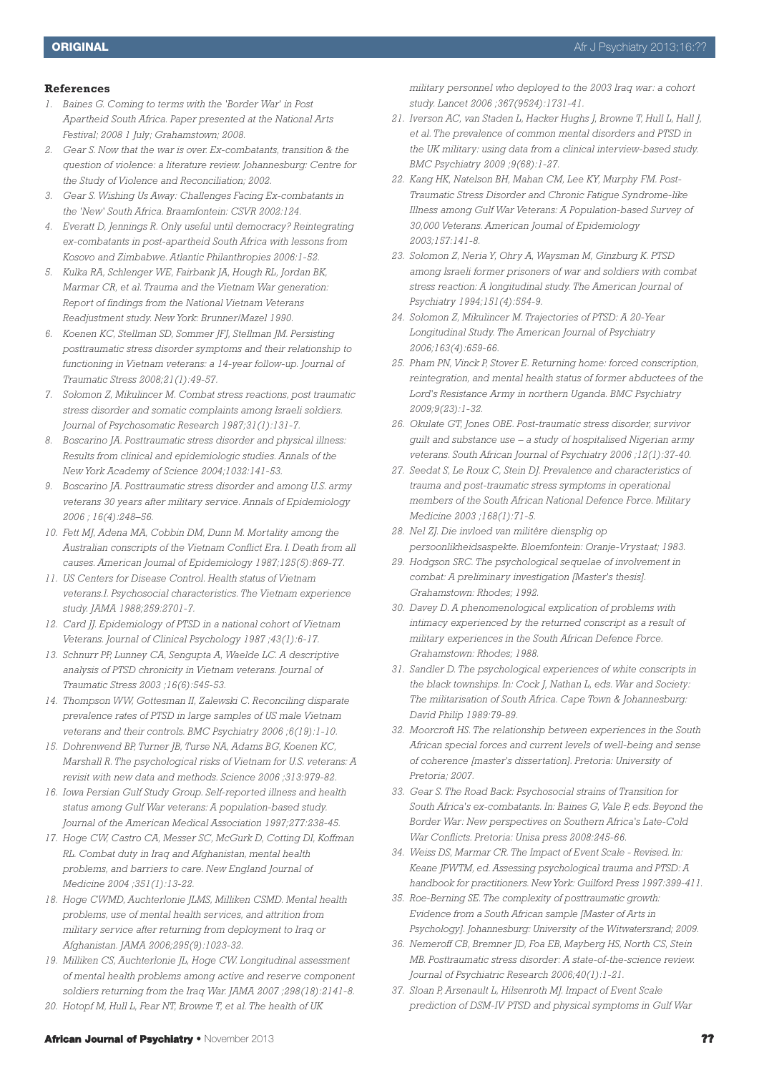## **References**

- *1. Baines G. Coming to terms with the 'Border War' in Post Apartheid South Africa. Paper presented at the National Arts Festival; 2008 1 July; Grahamstown; 2008.*
- *2. Gear S. Now that the war is over. Ex-combatants, transition & the question of violence: a literature review. Johannesburg: Centre for the Study of Violence and Reconciliation; 2002.*
- *3. Gear S. Wishing Us Away: Challenges Facing Ex-combatants in the 'New' South Africa. Braamfontein: CSVR 2002:124.*
- *4. Everatt D, Jennings R. Only useful until democracy? Reintegrating ex-combatants in post-apartheid South Africa with lessons from Kosovo and Zimbabwe. Atlantic Philanthropies 2006:1-52.*
- *5. Kulka RA, Schlenger WE, Fairbank JA, Hough RL, Jordan BK, Marmar CR, et al. Trauma and the Vietnam War generation: Report of findings from the National Vietnam Veterans Readjustment study. New York: Brunner/Mazel 1990.*
- *6. Koenen KC, Stellman SD, Sommer JFJ, Stellman JM. Persisting posttraumatic stress disorder symptoms and their relationship to functioning in Vietnam veterans: a 14-year follow-up. Journal of Traumatic Stress 2008;21(1):49-57.*
- *7. Solomon Z, Mikulincer M. Combat stress reactions, post traumatic stress disorder and somatic complaints among Israeli soldiers. Journal of Psychosomatic Research 1987;31(1):131-7.*
- *8. Boscarino JA. Posttraumatic stress disorder and physical illness: Results from clinical and epidemiologic studies. Annals of the New York Academy of Science 2004;1032:141-53.*
- *9. Boscarino JA. Posttraumatic stress disorder and among U.S. army veterans 30 years after military service. Annals of Epidemiology 2006 ; 16(4):248–56.*
- *10. Fett MJ, Adena MA, Cobbin DM, Dunn M. Mortality among the Australian conscripts of the Vietnam Conflict Era. I. Death from all causes. American Joumal of Epidemiology 1987;125(5):869-77.*
- *11. US Centers for Disease Control. Health status of Vietnam veterans.I. Psychosocial characteristics. The Vietnam experience study. JAMA 1988;259:2701-7.*
- *12. Card JJ. Epidemiology of PTSD in a national cohort of Vietnam Veterans. Journal of Clinical Psychology 1987 ;43(1):6-17.*
- *13. Schnurr PP, Lunney CA, Sengupta A, Waelde LC. A descriptive analysis of PTSD chronicity in Vietnam veterans. Journal of Traumatic Stress 2003 ;16(6):545-53.*
- *14. Thompson WW, Gottesman II, Zalewski C. Reconciling disparate prevalence rates of PTSD in large samples of US male Vietnam veterans and their controls. BMC Psychiatry 2006 ;6(19):1-10.*
- *15. Dohrenwend BP, Turner JB, Turse NA, Adams BG, Koenen KC, Marshall R. The psychological risks of Vietnam for U.S. veterans: A revisit with new data and methods. Science 2006 ;313:979-82.*
- *16. Iowa Persian Gulf Study Group. Self-reported illness and health status among Gulf War veterans: A population-based study. Journal of the American Medical Association 1997;277:238-45.*
- *17. Hoge CW, Castro CA, Messer SC, McGurk D, Cotting DI, Koffman RL. Combat duty in Iraq and Afghanistan, mental health problems, and barriers to care. New England Journal of Medicine 2004 ;351(1):13-22.*
- *18. Hoge CWMD, Auchterlonie JLMS, Milliken CSMD. Mental health problems, use of mental health services, and attrition from military service after returning from deployment to Iraq or Afghanistan. JAMA 2006;295(9):1023-32.*
- *19. Milliken CS, Auchterlonie JL, Hoge CW. Longitudinal assessment of mental health problems among active and reserve component soldiers returning from the Iraq War. JAMA 2007 ;298(18):2141-8.*
- *20. Hotopf M, Hull L, Fear NT, Browne T, et al. The health of UK*

*military personnel who deployed to the 2003 Iraq war: a cohort study. Lancet 2006 ;367(9524):1731-41.*

- *21. Iverson AC, van Staden L, Hacker Hughs J, Browne T, Hull L, Hall J, et al. The prevalence of common mental disorders and PTSD in the UK military: using data from a clinical interview-based study. BMC Psychiatry 2009 ;9(68):1-27.*
- *22. Kang HK, Natelson BH, Mahan CM, Lee KY, Murphy FM. Post-Traumatic Stress Disorder and Chronic Fatigue Syndrome-like Illness among Gulf War Veterans: A Population-based Survey of 30,000 Veterans. American Joumal of Epidemiology 2003;157:141-8.*
- *23. Solomon Z, Neria Y, Ohry A, Waysman M, Ginzburg K. PTSD among Israeli former prisoners of war and soldiers with combat stress reaction: A longitudinal study. The American Journal of Psychiatry 1994;151(4):554-9.*
- *24. Solomon Z, Mikulincer M. Trajectories of PTSD: A 20-Year Longitudinal Study. The American Journal of Psychiatry 2006;163(4):659-66.*
- *25. Pham PN, Vinck P, Stover E. Returning home: forced conscription, reintegration, and mental health status of former abductees of the Lord's Resistance Army in northern Uganda. BMC Psychiatry 2009;9(23):1-32.*
- *26. Okulate GT, Jones OBE. Post-traumatic stress disorder, survivor guilt and substance use – a study of hospitalised Nigerian army veterans. South African Journal of Psychiatry 2006 ;12(1):37-40.*
- *27. Seedat S, Le Roux C, Stein DJ. Prevalence and characteristics of trauma and post-traumatic stress symptoms in operational members of the South African National Defence Force. Military Medicine 2003 ;168(1):71-5.*
- *28. Nel ZJ. Die invloed van militêre diensplig op persoonlikheidsaspekte. Bloemfontein: Oranje-Vrystaat; 1983.*
- *29. Hodgson SRC. The psychological sequelae of involvement in combat: A preliminary investigation [Master's thesis]. Grahamstown: Rhodes; 1992.*
- *30. Davey D. A phenomenological explication of problems with intimacy experienced by the returned conscript as a result of military experiences in the South African Defence Force. Grahamstown: Rhodes; 1988.*
- *31. Sandler D. The psychological experiences of white conscripts in the black townships. In: Cock J, Nathan L, eds. War and Society: The militarisation of South Africa. Cape Town & Johannesburg: David Philip 1989:79-89.*
- *32. Moorcroft HS. The relationship between experiences in the South African special forces and current levels of well-being and sense of coherence [master's dissertation]. Pretoria: University of Pretoria; 2007.*
- *33. Gear S. The Road Back: Psychosocial strains of Transition for South Africa's ex-combatants. In: Baines G, Vale P, eds. Beyond the Border War: New perspectives on Southern Africa's Late-Cold War Conflicts. Pretoria: Unisa press 2008:245-66.*
- *34. Weiss DS, Marmar CR. The Impact of Event Scale - Revised. In: Keane JPWTM, ed. Assessing psychological trauma and PTSD: A handbook for practitioners. New York: Guilford Press 1997:399-411.*
- *35. Roe-Berning SE. The complexity of posttraumatic growth: Evidence from a South African sample [Master of Arts in Psychology]. Johannesburg: University of the Witwatersrand; 2009.*
- *36. Nemeroff CB, Bremner JD, Foa EB, Mayberg HS, North CS, Stein MB. Posttraumatic stress disorder: A state-of-the-science review. Journal of Psychiatric Research 2006;40(1):1-21.*
- *37. Sloan P, Arsenault L, Hilsenroth MJ. Impact of Event Scale prediction of DSM-IV PTSD and physical symptoms in Gulf War*